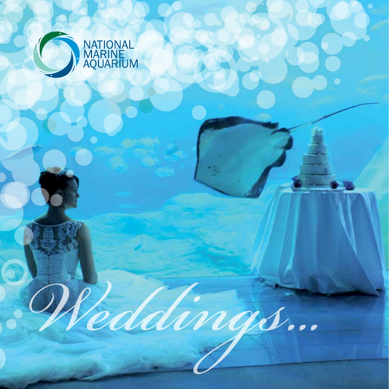

*Weddings...*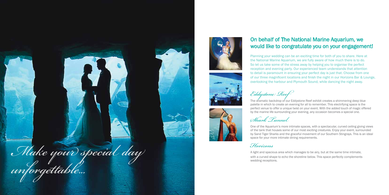Planning your wedding can be an exciting time for both of you to share. Here at the National Marine Aquarium, we are fully aware of how much there is to do. So let us take some of the stress away by helping you to organise the perfect reception and evening party. Our experienced team understands that attention to detail is paramount in ensuring your perfect day is just that. Choose from one of our three magnificent locations and finish the night in our Horizons Bar & Lounge, overlooking the harbour and Plymouth Sound, while dancing the night away.

One of the Aquarium's more intimate spaces, with a spectacular, curved ceiling giving views of the tank that houses some of our most exciting creatures. Enjoy your event, surrounded by Sand Tiger Sharks and the graceful movement of our Southern Stingrays. This is an ideal space for your more intimate dining requirements.

## On behalf of The National Marine Aquarium, we would like to congratulate you on your engagement!

*Eddystone Reef* 

The dramatic backdrop of our Eddystone Reef exhibit creates a shimmering deep blue palette in which to create an evening for all to remember. This electrifying space is the perfect venue to offer a unique twist on your event. With the added touch of magic offered by the marine life surrounding your evening, any occasion becomes a special one.

*Shark Tunnel* 

*Horizons* 

A light and spacious area which manages to be airy, but at the same time intimate,







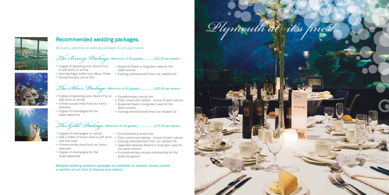

### Recommended wedding packages.

# *The Bronze Package*(Minimum of 40 guests)..............£45.00 per person

# *The Silver Package* (Minimum of 40 guests)...................£60.00 per person

- A glass of sparkling wine, Buck's Fizz Seasonal flower in long stem vase for the or soft drink on arrival
- Evening finger buffet from Menu Three Evening entertainment from our resident DJ
- Complimentary venue hire
- table centres
- 

# *The Gold Package* (Minimum of 40 guests)......................£75.00 per person

- A glass of sparkling wine, Buck's Fizz or Complimentary venue hire soft drink on arrival
- A three-course meal from our menu selection
- A glass of champagne for the toast/speeches
- 
- Chair covers and sashes choice of sash colours
- Seasonal flower in long stem vase for the table centres
- Evening entertainment from our resident DJ

- A glass of champagne on arrival
- with the meal
- A three-course meal from our menu selection
- A glass of champagne for the toast/speeches

Bespoke wedding reception packages are available on request, please contact a member of our team to discuss your options.

- Complimentary venue hire
- Half a bottle of house wine or soft drink Chair covers and sashes choice of sash colours • Evening entertainment from our resident DJ
	- Upgraded bespoke flowers in long stem vase for the table centres
	- A complimentary annual membership for the bride and groom







We have a selection of wedding packages to suit your needs: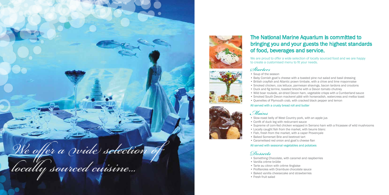We are proud to offer a wide selection of locally sourced food and we are happy to create a customised menu to fit your needs.

### The National Marine Aquarium is committed to bringing you and your guests the highest standards of food, beverages and service.

### *Starters*

- Soup of the season
- 
- 
- 
- 
- 
- 
- 

• Baby Cornish goat's cheese with a toasted pine nut salad and basil dressing • British crayfish and Atlantic prawn timbale, with a chive and lime mayonnaise • Smoked chicken, cos lettuce, parmesan shavings, bacon lardons and croutons • Duck and fig terrine, toasted brioche with a Devon tomato chutney • Wild boar roulade, air-dried Devon ham, vegetable crisps with a Cumberland sauce • Smoked South Devon mackerel pâté with horseradish, watercress and melba toast • Quenelles of Plymouth crab, with cracked black pepper and lemon

#### All served with a crusty bread roll and butter

### *Mains*

• Supreme of corn-fed chicken wrapped in Serrano ham with a fricassee of wild mushrooms

- Slow-roast belly of West Country pork, with an apple jus
- Confit of duck leg with redcurrant sauce
- 
- 
- 
- Fish, fresh from the market, with a caper Provençale
- Baked Somerset Brie and beetroot tart
- Caramelised red onion and goat's cheese flan

• Locally caught fish from the market, with beurre blanc

### All served with seasonal vegetables and potatoes

### *Desserts*

- Something Chocolate, with caramel and raspberries
- Vanilla crème brûlée
- Tarte au citron with crème Anglaise
- Profiteroles with Drambuie chocolate sauce
- Baked vanilla cheesecake and strawberries
- Fresh fruit salad







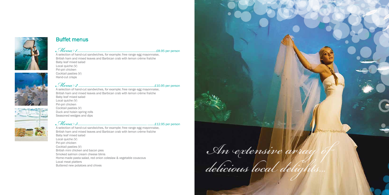

### Buffet menus

*Menu 1*.....................................................................................................£8.95 per person A selection of hand-cut sandwiches, for example; free range egg mayonnaise, British ham and mixed leaves and Barbican crab with lemon crème fraîche Baby leaf mixed salad Local quiche (V) Piri-piri chicken Cocktail pasties (V) Hand-cut crisps

*Menu 2* .................................................................................................£10.95 per person A selection of hand-cut sandwiches, for example; free range egg mayonnaise, British ham and mixed leaves and Barbican crab with lemon crème fraîche Baby leaf mixed salad Local quiche (V) Piri-piri chicken Cocktail pasties (V) Duck and hoisin spring rolls Seasoned wedges and dips

*Menu 3*........................................................................................ .........£12.95 per person A selection of hand-cut sandwiches, for example; free range egg mayonnaise, British ham and mixed leaves and Barbican crab with lemon crème fraîche Baby leaf mixed salad Local quiche (V) Piri-piri chicken Cocktail pasties (V) British mini chicken and bacon pies Smoked salmon cream cheese blinis Home-made pasta salad, red onion coleslaw & vegetable couscous Local meat platters Buttered new potatoes and chives

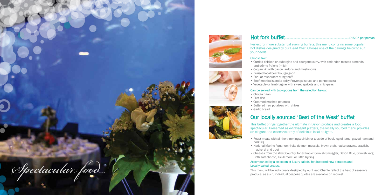Perfect for more substantial evening buffets, this menu contains some popular hot dishes designed by our Head Chef. Choose one of the pairings below to suit your needs.

Hot fork buffet..................................................................................£15.95 per person









#### Choose from:

• Curried chicken or aubergine and courgette curry, with coriander, toasted almonds

- and crème fraîche (mild)
- Coq au vin with bacon lardons and mushrooms
- Braised local beef bourguignon
- Pork or mushroom stroganoff
- Beef meatballs and a spicy Provençal sauce and penne pasta
- Vegetable or lamb tagine with sweet apricots and chickpeas

#### Can be served with two options from the selection below:

- Chotaa naan
- Pilaf rice
- Creamed mashed potatoes
- Buttered new potatoes with chives
- Garlic bread

## Our locally sourced 'Best of the West' buffet

This buffet brings together the ultimate in Devon produce and creates a food spectacular! Presented as extravagant platters, the locally sourced menu provides an elegant and extensive array of delicious local delights.

• Roast meats with all the trimmings: sirloin or topside of beef, leg of lamb, glazed ham and

• National Marine Aquarium fruits de mer: mussels, brown crab, native prawns, crayfish,

- pork leg
- mackerel and trout
- Bath soft cheese, Ticklemore, or Little Ryding

• Cheeses from the West Country, for example: Cornish Smuggler, Devon Blue, Cornish Yarg,

Accompanied by a selection of luxury salads, hot buttered new potatoes and

## Locally baked breads.

This menu will be individually designed by our Head Chef to reflect the best of season's produce, as such, individual bespoke quotes are available on request.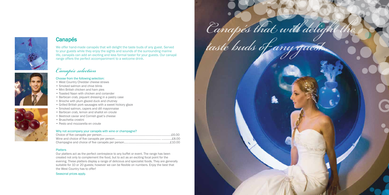



### **Canapés**

We offer hand-made canapés that will delight the taste buds of any guest. Served to your guests while they enjoy the sights and sounds of the surrounding marine life, canapés can add an exciting and less formal taster for your guests. Our canapé range offers the perfect accompaniment to a welcome drink.

## *Canapés selection*

### Choose from the following selection:

- West Country Cheddar cheese straws
- Smoked salmon and chive blinis
- Mini British chicken and ham pies
- Toasted Naan with chicken and coriander
- Barbican crab, piquant dressing in a pastry case
- Brioche with plum glazed duck and chutney
- Grilled British pork sausages with a sweet hickory glaze
- Smoked salmon, capers and dill mayonnaise
- Barbican crab, lemon and shallot en croute
- Beetroot caviar and Cornish goat's cheese
- Bruschetta crostini
- Pesto and mozzarella en croute

### Why not accompany your canapés with wine or champagne?

### **Platters**

Our platters act as the perfect centrepiece to any buffet or event. The range has been created not only to complement the food, but to act as an exciting focal point for the evening. These platters display a range of delicious and specialist foods. They are generally suitable for 10 or 20 guests; however we can be flexible on numbers. Enjoy the best that the West Country has to offer!

#### Seasonal prices apply.

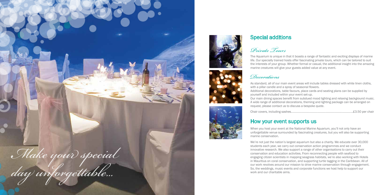### Special additions









*Private Tours*

The Aquarium is unique in that it boasts a range of fantastic and exciting displays of marine life. Our specially trained hosts offer fascinating private tours, which can be tailored to suit the interests of your group. Whether formal or casual, the additional insight into the amazing marine creatures will give your guests added value at any event.

### *Decorations*

with a pillar candle and a spray of seasonal flowers. yourself and included within your event set-up. request, please contact us to discuss a bespoke quote.

- As standard, all of our main event areas will include tables dressed with white linen cloths,
- Additional decorations, table favours, place cards and seating plans can be supplied by
- Our main dining spaces benefit from subdued mood lighting and relaxing background music. A wide range of additional decorations, theming and lighting package can be arranged on
- When you host your event at the National Marine Aquarium, you'll not only have an unforgettable venue surrounded by fascinating creatures, but you will also be supporting

Chair covers, including sashes...............................................................................£3.50 per chair

### How your event supports us

marine conservation.

We're not just the nation's largest aquarium but also a charity. We educate over 30,000 students each year, we carry out conservation action programmes and we conduct innovative research. We also support a range of other organisations to carry out their conservation and education activities. From reconnecting people with seafood to engaging citizen scientists in mapping seagrass habitats, we're also working with Hotels in Mauritius on coral conservation, and supporting turtle tagging in the Caribbean. All of our work revolves around our mission to drive marine conservation through engagement. So, the weddings, music events and corporate functions we host help to support our work and our charitable aims.